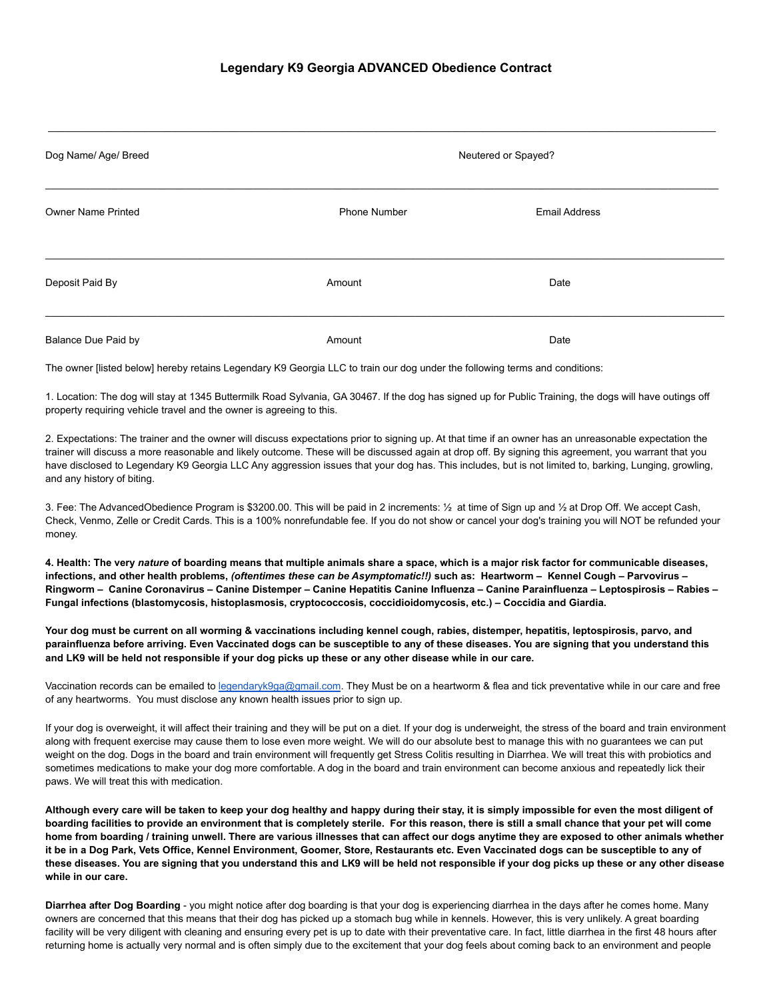| Dog Name/ Age/ Breed      | Neutered or Spayed? |                      |  |
|---------------------------|---------------------|----------------------|--|
| <b>Owner Name Printed</b> | <b>Phone Number</b> | <b>Email Address</b> |  |
| Deposit Paid By           | Amount              | Date                 |  |
| Balance Due Paid by       | Amount              | Date                 |  |

The owner [listed below] hereby retains Legendary K9 Georgia LLC to train our dog under the following terms and conditions:

1. Location: The dog will stay at 1345 Buttermilk Road Sylvania, GA 30467. If the dog has signed up for Public Training, the dogs will have outings off property requiring vehicle travel and the owner is agreeing to this.

2. Expectations: The trainer and the owner will discuss expectations prior to signing up. At that time if an owner has an unreasonable expectation the trainer will discuss a more reasonable and likely outcome. These will be discussed again at drop off. By signing this agreement, you warrant that you have disclosed to Legendary K9 Georgia LLC Any aggression issues that your dog has. This includes, but is not limited to, barking, Lunging, growling, and any history of biting.

3. Fee: The AdvancedObedience Program is \$3200.00. This will be paid in 2 increments: ½ at time of Sign up and ½ at Drop Off. We accept Cash, Check, Venmo, Zelle or Credit Cards. This is a 100% nonrefundable fee. If you do not show or cancel your dog's training you will NOT be refunded your money.

4. Health: The very nature of boarding means that multiple animals share a space, which is a major risk factor for communicable diseases, infections, and other health problems, (oftentimes these can be Asymptomatic!!) such as: Heartworm - Kennel Cough - Parvovirus -Ringworm - Canine Coronavirus - Canine Distemper - Canine Hepatitis Canine Influenza - Canine Parainfluenza - Leptospirosis - Rabies -**Fungal infections (blastomycosis, histoplasmosis, cryptococcosis, coccidioidomycosis, etc.) – Coccidia and Giardia.**

Your dog must be current on all worming & vaccinations including kennel cough, rabies, distemper, hepatitis, leptospirosis, parvo, and parainfluenza before arriving. Even Vaccinated dogs can be susceptible to any of these diseases. You are signing that you understand this and LK9 will be held not responsible if your dog picks up these or any other disease while in our care.

Vaccination records can be emailed to [legendaryk9ga@gmail.com](mailto:legendaryk9ga@gmail.com). They Must be on a heartworm & flea and tick preventative while in our care and free of any heartworms. You must disclose any known health issues prior to sign up.

If your dog is overweight, it will affect their training and they will be put on a diet. If your dog is underweight, the stress of the board and train environment along with frequent exercise may cause them to lose even more weight. We will do our absolute best to manage this with no guarantees we can put weight on the dog. Dogs in the board and train environment will frequently get Stress Colitis resulting in Diarrhea. We will treat this with probiotics and sometimes medications to make your dog more comfortable. A dog in the board and train environment can become anxious and repeatedly lick their paws. We will treat this with medication.

Although every care will be taken to keep your dog healthy and happy during their stay, it is simply impossible for even the most diligent of boarding facilities to provide an environment that is completely sterile. For this reason, there is still a small chance that your pet will come home from boarding / training unwell. There are various illnesses that can affect our dogs anytime they are exposed to other animals whether it be in a Dog Park, Vets Office, Kennel Environment, Goomer, Store, Restaurants etc. Even Vaccinated dogs can be susceptible to any of these diseases. You are signing that you understand this and LK9 will be held not responsible if your dog picks up these or any other disease **while in our care.**

**Diarrhea after Dog Boarding** - you might notice after dog boarding is that your dog is experiencing diarrhea in the days after he comes home. Many owners are concerned that this means that their dog has picked up a stomach bug while in kennels. However, this is very unlikely. A great boarding facility will be very diligent with cleaning and ensuring every pet is up to date with their preventative care. In fact, little diarrhea in the first 48 hours after returning home is actually very normal and is often simply due to the excitement that your dog feels about coming back to an environment and people